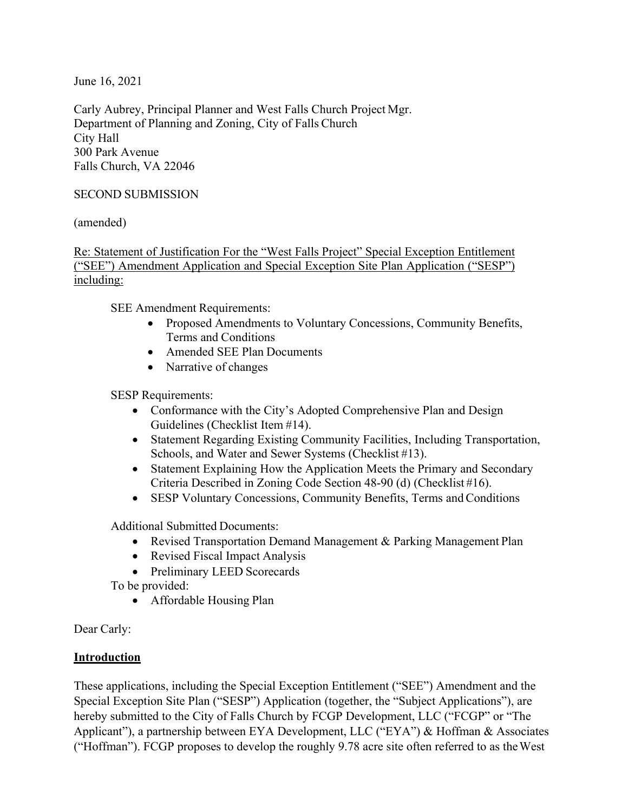June 16, 2021

Carly Aubrey, Principal Planner and West Falls Church Project Mgr. Department of Planning and Zoning, City of Falls Church City Hall 300 Park Avenue Falls Church, VA 22046

## SECOND SUBMISSION

(amended)

Re: Statement of Justification For the "West Falls Project" Special Exception Entitlement ("SEE") Amendment Application and Special Exception Site Plan Application ("SESP") including:

SEE Amendment Requirements:

- Proposed Amendments to Voluntary Concessions, Community Benefits, Terms and Conditions
- Amended SEE Plan Documents
- Narrative of changes

SESP Requirements:

- Conformance with the City's Adopted Comprehensive Plan and Design Guidelines (Checklist Item #14).
- Statement Regarding Existing Community Facilities, Including Transportation, Schools, and Water and Sewer Systems (Checklist #13).
- Statement Explaining How the Application Meets the Primary and Secondary Criteria Described in Zoning Code Section 48-90 (d) (Checklist #16).
- SESP Voluntary Concessions, Community Benefits, Terms and Conditions

Additional Submitted Documents:

- Revised Transportation Demand Management & Parking Management Plan
- Revised Fiscal Impact Analysis
- Preliminary LEED Scorecards

To be provided:

Affordable Housing Plan

Dear Carly:

## **Introduction**

These applications, including the Special Exception Entitlement ("SEE") Amendment and the Special Exception Site Plan ("SESP") Application (together, the "Subject Applications"), are hereby submitted to the City of Falls Church by FCGP Development, LLC ("FCGP" or "The Applicant"), a partnership between EYA Development, LLC ("EYA") & Hoffman & Associates ("Hoffman"). FCGP proposes to develop the roughly 9.78 acre site often referred to as theWest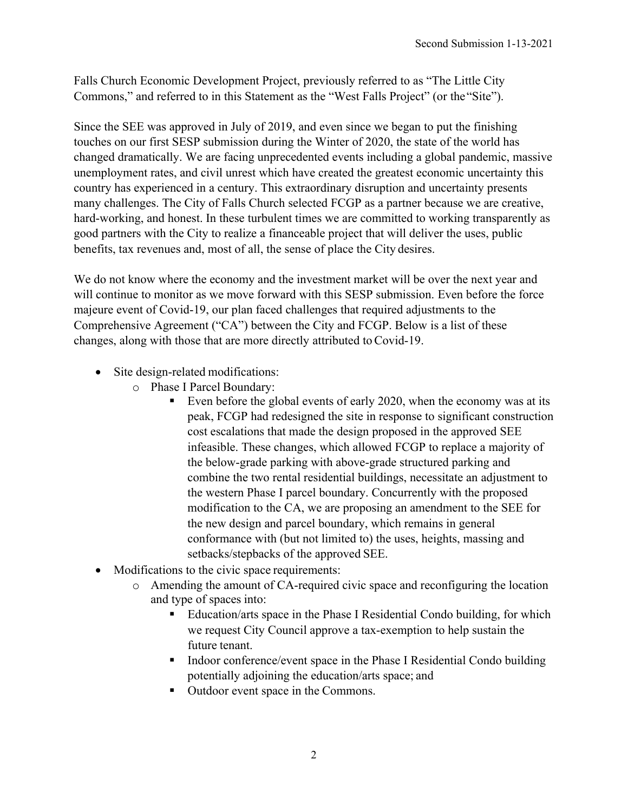Falls Church Economic Development Project, previously referred to as "The Little City Commons," and referred to in this Statement as the "West Falls Project" (or the"Site").

Since the SEE was approved in July of 2019, and even since we began to put the finishing touches on our first SESP submission during the Winter of 2020, the state of the world has changed dramatically. We are facing unprecedented events including a global pandemic, massive unemployment rates, and civil unrest which have created the greatest economic uncertainty this country has experienced in a century. This extraordinary disruption and uncertainty presents many challenges. The City of Falls Church selected FCGP as a partner because we are creative, hard-working, and honest. In these turbulent times we are committed to working transparently as good partners with the City to realize a financeable project that will deliver the uses, public benefits, tax revenues and, most of all, the sense of place the City desires.

We do not know where the economy and the investment market will be over the next year and will continue to monitor as we move forward with this SESP submission. Even before the force majeure event of Covid-19, our plan faced challenges that required adjustments to the Comprehensive Agreement ("CA") between the City and FCGP. Below is a list of these changes, along with those that are more directly attributed toCovid-19.

- Site design-related modifications:
	- o Phase I Parcel Boundary:
		- Even before the global events of early 2020, when the economy was at its peak, FCGP had redesigned the site in response to significant construction cost escalations that made the design proposed in the approved SEE infeasible. These changes, which allowed FCGP to replace a majority of the below-grade parking with above-grade structured parking and combine the two rental residential buildings, necessitate an adjustment to the western Phase I parcel boundary. Concurrently with the proposed modification to the CA, we are proposing an amendment to the SEE for the new design and parcel boundary, which remains in general conformance with (but not limited to) the uses, heights, massing and setbacks/stepbacks of the approved SEE.
- Modifications to the civic space requirements:
	- o Amending the amount of CA-required civic space and reconfiguring the location and type of spaces into:
		- Education/arts space in the Phase I Residential Condo building, for which we request City Council approve a tax-exemption to help sustain the future tenant.
		- Indoor conference/event space in the Phase I Residential Condo building potentially adjoining the education/arts space; and
		- Outdoor event space in the Commons.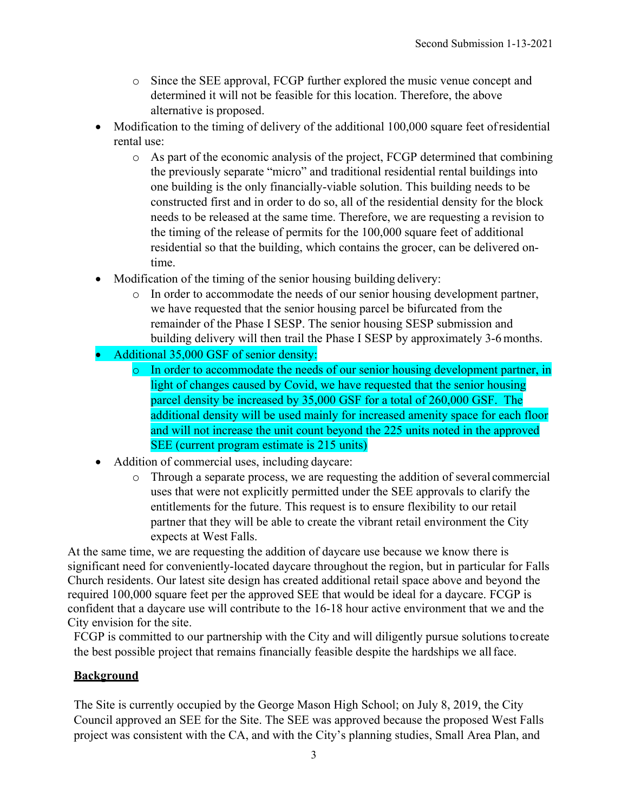- o Since the SEE approval, FCGP further explored the music venue concept and determined it will not be feasible for this location. Therefore, the above alternative is proposed.
- Modification to the timing of delivery of the additional 100,000 square feet of residential rental use:
	- o As part of the economic analysis of the project, FCGP determined that combining the previously separate "micro" and traditional residential rental buildings into one building is the only financially-viable solution. This building needs to be constructed first and in order to do so, all of the residential density for the block needs to be released at the same time. Therefore, we are requesting a revision to the timing of the release of permits for the 100,000 square feet of additional residential so that the building, which contains the grocer, can be delivered ontime.
- Modification of the timing of the senior housing building delivery:
	- o In order to accommodate the needs of our senior housing development partner, we have requested that the senior housing parcel be bifurcated from the remainder of the Phase I SESP. The senior housing SESP submission and building delivery will then trail the Phase I SESP by approximately 3-6 months.
- Additional 35,000 GSF of senior density:
	- o In order to accommodate the needs of our senior housing development partner, in light of changes caused by Covid, we have requested that the senior housing parcel density be increased by 35,000 GSF for a total of 260,000 GSF. The additional density will be used mainly for increased amenity space for each floor and will not increase the unit count beyond the 225 units noted in the approved SEE (current program estimate is 215 units)
- Addition of commercial uses, including daycare:
	- o Through a separate process, we are requesting the addition of several commercial uses that were not explicitly permitted under the SEE approvals to clarify the entitlements for the future. This request is to ensure flexibility to our retail partner that they will be able to create the vibrant retail environment the City expects at West Falls.

At the same time, we are requesting the addition of daycare use because we know there is significant need for conveniently-located daycare throughout the region, but in particular for Falls Church residents. Our latest site design has created additional retail space above and beyond the required 100,000 square feet per the approved SEE that would be ideal for a daycare. FCGP is confident that a daycare use will contribute to the 16-18 hour active environment that we and the City envision for the site.

FCGP is committed to our partnership with the City and will diligently pursue solutions tocreate the best possible project that remains financially feasible despite the hardships we allface.

# **Background**

The Site is currently occupied by the George Mason High School; on July 8, 2019, the City Council approved an SEE for the Site. The SEE was approved because the proposed West Falls project was consistent with the CA, and with the City's planning studies, Small Area Plan, and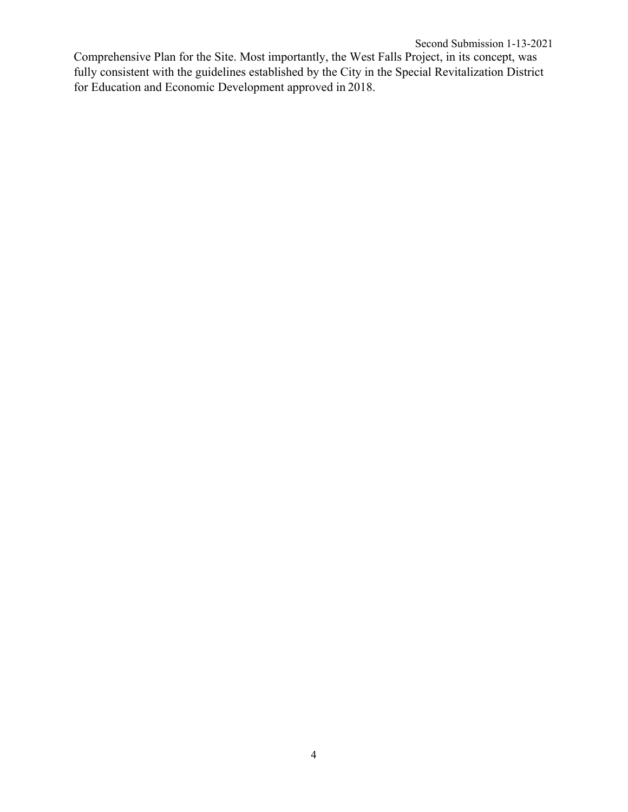Comprehensive Plan for the Site. Most importantly, the West Falls Project, in its concept, was fully consistent with the guidelines established by the City in the Special Revitalization District for Education and Economic Development approved in 2018.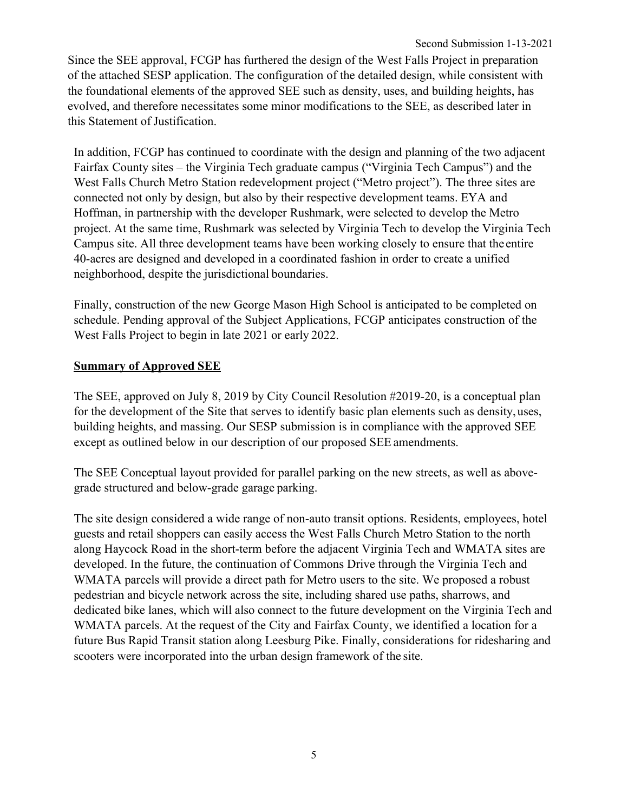Since the SEE approval, FCGP has furthered the design of the West Falls Project in preparation of the attached SESP application. The configuration of the detailed design, while consistent with the foundational elements of the approved SEE such as density, uses, and building heights, has evolved, and therefore necessitates some minor modifications to the SEE, as described later in this Statement of Justification.

In addition, FCGP has continued to coordinate with the design and planning of the two adjacent Fairfax County sites – the Virginia Tech graduate campus ("Virginia Tech Campus") and the West Falls Church Metro Station redevelopment project ("Metro project"). The three sites are connected not only by design, but also by their respective development teams. EYA and Hoffman, in partnership with the developer Rushmark, were selected to develop the Metro project. At the same time, Rushmark was selected by Virginia Tech to develop the Virginia Tech Campus site. All three development teams have been working closely to ensure that the entire 40-acres are designed and developed in a coordinated fashion in order to create a unified neighborhood, despite the jurisdictional boundaries.

Finally, construction of the new George Mason High School is anticipated to be completed on schedule. Pending approval of the Subject Applications, FCGP anticipates construction of the West Falls Project to begin in late 2021 or early 2022.

## **Summary of Approved SEE**

The SEE, approved on July 8, 2019 by City Council Resolution #2019-20, is a conceptual plan for the development of the Site that serves to identify basic plan elements such as density,uses, building heights, and massing. Our SESP submission is in compliance with the approved SEE except as outlined below in our description of our proposed SEE amendments.

The SEE Conceptual layout provided for parallel parking on the new streets, as well as abovegrade structured and below-grade garage parking.

The site design considered a wide range of non-auto transit options. Residents, employees, hotel guests and retail shoppers can easily access the West Falls Church Metro Station to the north along Haycock Road in the short-term before the adjacent Virginia Tech and WMATA sites are developed. In the future, the continuation of Commons Drive through the Virginia Tech and WMATA parcels will provide a direct path for Metro users to the site. We proposed a robust pedestrian and bicycle network across the site, including shared use paths, sharrows, and dedicated bike lanes, which will also connect to the future development on the Virginia Tech and WMATA parcels. At the request of the City and Fairfax County, we identified a location for a future Bus Rapid Transit station along Leesburg Pike. Finally, considerations for ridesharing and scooters were incorporated into the urban design framework of the site.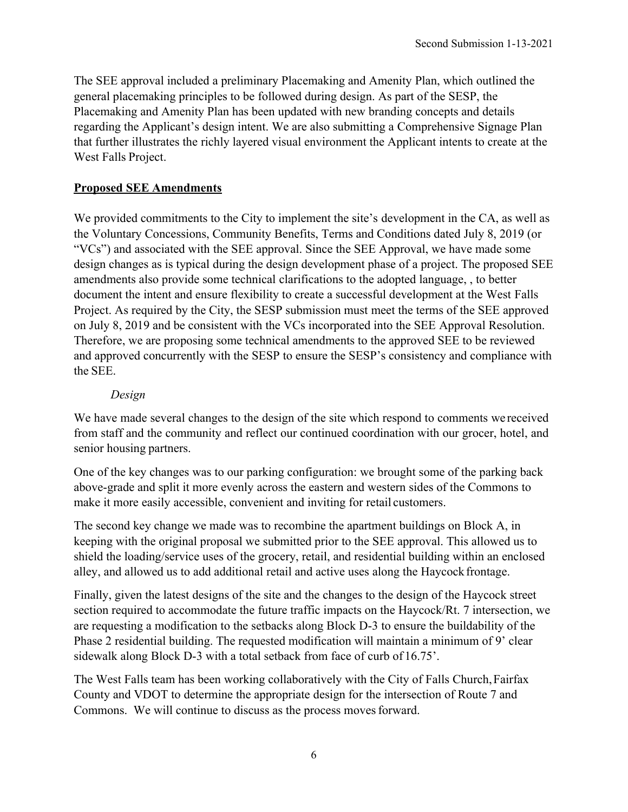The SEE approval included a preliminary Placemaking and Amenity Plan, which outlined the general placemaking principles to be followed during design. As part of the SESP, the Placemaking and Amenity Plan has been updated with new branding concepts and details regarding the Applicant's design intent. We are also submitting a Comprehensive Signage Plan that further illustrates the richly layered visual environment the Applicant intents to create at the West Falls Project.

# **Proposed SEE Amendments**

We provided commitments to the City to implement the site's development in the CA, as well as the Voluntary Concessions, Community Benefits, Terms and Conditions dated July 8, 2019 (or "VCs") and associated with the SEE approval. Since the SEE Approval, we have made some design changes as is typical during the design development phase of a project. The proposed SEE amendments also provide some technical clarifications to the adopted language, , to better document the intent and ensure flexibility to create a successful development at the West Falls Project. As required by the City, the SESP submission must meet the terms of the SEE approved on July 8, 2019 and be consistent with the VCs incorporated into the SEE Approval Resolution. Therefore, we are proposing some technical amendments to the approved SEE to be reviewed and approved concurrently with the SESP to ensure the SESP's consistency and compliance with the SEE.

# *Design*

We have made several changes to the design of the site which respond to comments we received from staff and the community and reflect our continued coordination with our grocer, hotel, and senior housing partners.

One of the key changes was to our parking configuration: we brought some of the parking back above-grade and split it more evenly across the eastern and western sides of the Commons to make it more easily accessible, convenient and inviting for retail customers.

The second key change we made was to recombine the apartment buildings on Block A, in keeping with the original proposal we submitted prior to the SEE approval. This allowed us to shield the loading/service uses of the grocery, retail, and residential building within an enclosed alley, and allowed us to add additional retail and active uses along the Haycock frontage.

Finally, given the latest designs of the site and the changes to the design of the Haycock street section required to accommodate the future traffic impacts on the Haycock/Rt. 7 intersection, we are requesting a modification to the setbacks along Block D-3 to ensure the buildability of the Phase 2 residential building. The requested modification will maintain a minimum of 9' clear sidewalk along Block D-3 with a total setback from face of curb of 16.75'.

The West Falls team has been working collaboratively with the City of Falls Church,Fairfax County and VDOT to determine the appropriate design for the intersection of Route 7 and Commons. We will continue to discuss as the process moves forward.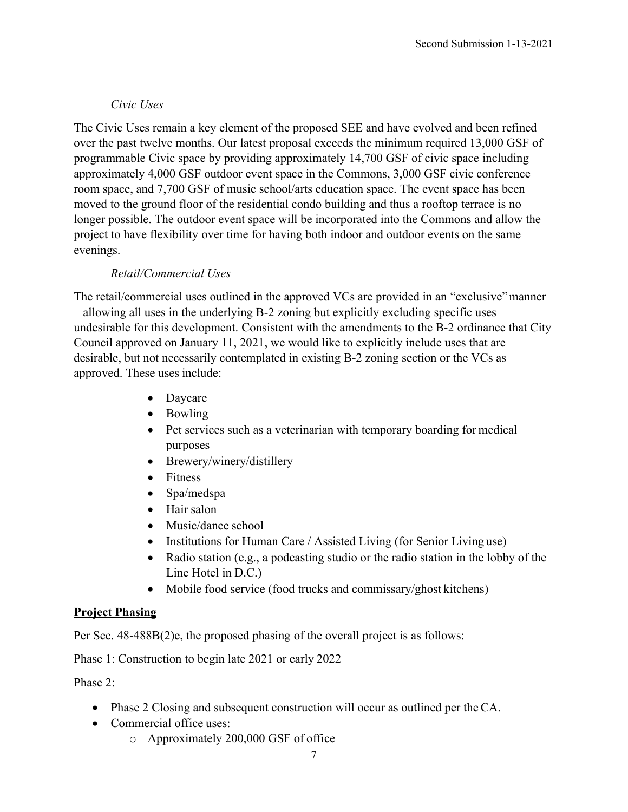# *Civic Uses*

The Civic Uses remain a key element of the proposed SEE and have evolved and been refined over the past twelve months. Our latest proposal exceeds the minimum required 13,000 GSF of programmable Civic space by providing approximately 14,700 GSF of civic space including approximately 4,000 GSF outdoor event space in the Commons, 3,000 GSF civic conference room space, and 7,700 GSF of music school/arts education space. The event space has been moved to the ground floor of the residential condo building and thus a rooftop terrace is no longer possible. The outdoor event space will be incorporated into the Commons and allow the project to have flexibility over time for having both indoor and outdoor events on the same evenings.

# *Retail/Commercial Uses*

The retail/commercial uses outlined in the approved VCs are provided in an "exclusive"manner – allowing all uses in the underlying B-2 zoning but explicitly excluding specific uses undesirable for this development. Consistent with the amendments to the B-2 ordinance that City Council approved on January 11, 2021, we would like to explicitly include uses that are desirable, but not necessarily contemplated in existing B-2 zoning section or the VCs as approved. These uses include:

- Daycare
- Bowling
- Pet services such as a veterinarian with temporary boarding for medical purposes
- Brewery/winery/distillery
- Fitness
- Spa/medspa
- Hair salon
- Music/dance school
- Institutions for Human Care / Assisted Living (for Senior Living use)
- Radio station (e.g., a podcasting studio or the radio station in the lobby of the Line Hotel in D.C.)
- Mobile food service (food trucks and commissary/ghost kitchens)

# **Project Phasing**

Per Sec. 48-488B(2)e, the proposed phasing of the overall project is as follows:

Phase 1: Construction to begin late 2021 or early 2022

Phase 2:

- Phase 2 Closing and subsequent construction will occur as outlined per the CA.
- Commercial office uses:
	- o Approximately 200,000 GSF of office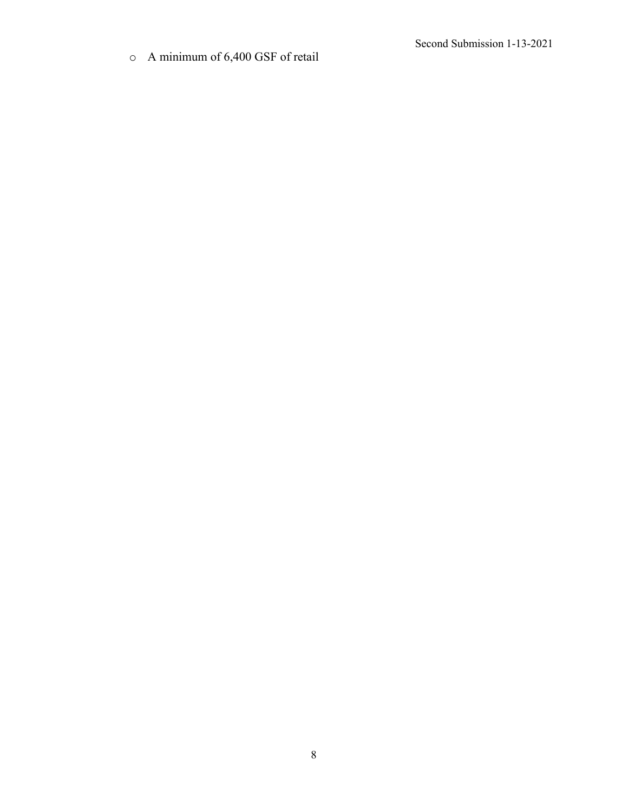o A minimum of 6,400 GSF of retail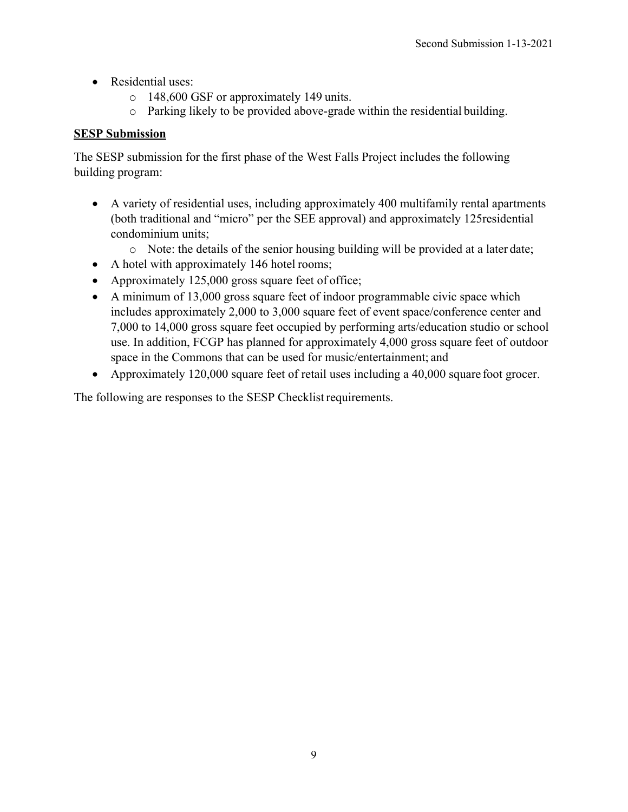- Residential uses:
	- o 148,600 GSF or approximately 149 units.
	- o Parking likely to be provided above-grade within the residential building.

# **SESP Submission**

The SESP submission for the first phase of the West Falls Project includes the following building program:

- A variety of residential uses, including approximately 400 multifamily rental apartments (both traditional and "micro" per the SEE approval) and approximately 125residential condominium units;
	- o Note: the details of the senior housing building will be provided at a later date;
- A hotel with approximately 146 hotel rooms;
- Approximately 125,000 gross square feet of office;
- A minimum of 13,000 gross square feet of indoor programmable civic space which includes approximately 2,000 to 3,000 square feet of event space/conference center and 7,000 to 14,000 gross square feet occupied by performing arts/education studio or school use. In addition, FCGP has planned for approximately 4,000 gross square feet of outdoor space in the Commons that can be used for music/entertainment; and
- Approximately 120,000 square feet of retail uses including a 40,000 square foot grocer.

The following are responses to the SESP Checklist requirements.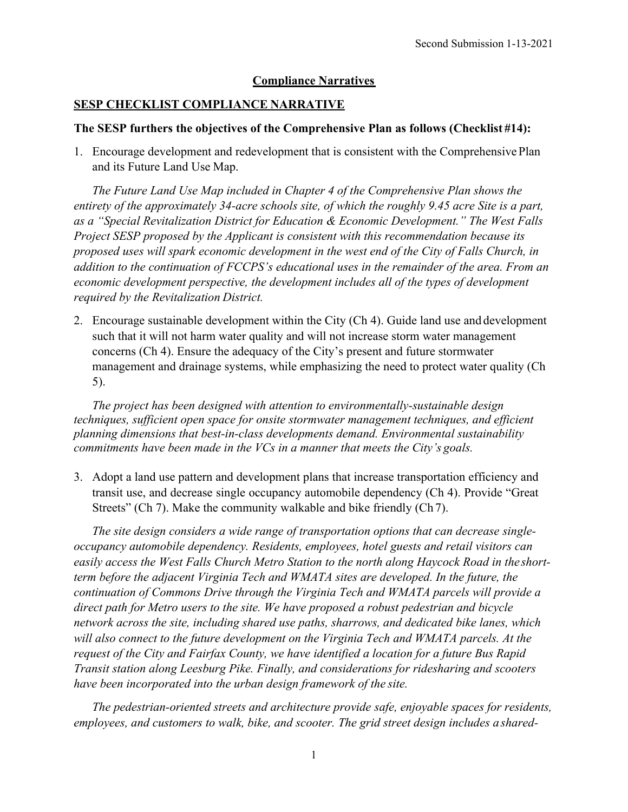## **Compliance Narratives**

#### **SESP CHECKLIST COMPLIANCE NARRATIVE**

#### **The SESP furthers the objectives of the Comprehensive Plan as follows (Checklist #14):**

1. Encourage development and redevelopment that is consistent with the ComprehensivePlan and its Future Land Use Map.

*The Future Land Use Map included in Chapter 4 of the Comprehensive Plan shows the entirety of the approximately 34-acre schools site, of which the roughly 9.45 acre Site is a part, as a "Special Revitalization District for Education & Economic Development." The West Falls Project SESP proposed by the Applicant is consistent with this recommendation because its proposed uses will spark economic development in the west end of the City of Falls Church, in addition to the continuation of FCCPS's educational uses in the remainder of the area. From an economic development perspective, the development includes all of the types of development required by the Revitalization District.*

2. Encourage sustainable development within the City (Ch 4). Guide land use and development such that it will not harm water quality and will not increase storm water management concerns (Ch 4). Ensure the adequacy of the City's present and future stormwater management and drainage systems, while emphasizing the need to protect water quality (Ch 5).

*The project has been designed with attention to environmentally-sustainable design techniques, sufficient open space for onsite stormwater management techniques, and efficient planning dimensions that best-in-class developments demand. Environmental sustainability commitments have been made in the VCs in a manner that meets the City's goals.*

3. Adopt a land use pattern and development plans that increase transportation efficiency and transit use, and decrease single occupancy automobile dependency (Ch 4). Provide "Great Streets" (Ch 7). Make the community walkable and bike friendly (Ch 7).

*The site design considers a wide range of transportation options that can decrease singleoccupancy automobile dependency. Residents, employees, hotel guests and retail visitors can*  easily access the West Falls Church Metro Station to the north along Haycock Road in the short*term before the adjacent Virginia Tech and WMATA sites are developed. In the future, the continuation of Commons Drive through the Virginia Tech and WMATA parcels will provide a direct path for Metro users to the site. We have proposed a robust pedestrian and bicycle network across the site, including shared use paths, sharrows, and dedicated bike lanes, which will also connect to the future development on the Virginia Tech and WMATA parcels. At the request of the City and Fairfax County, we have identified a location for a future Bus Rapid Transit station along Leesburg Pike. Finally, and considerations for ridesharing and scooters have been incorporated into the urban design framework of the site.*

*The pedestrian-oriented streets and architecture provide safe, enjoyable spaces for residents, employees, and customers to walk, bike, and scooter. The grid street design includes a shared-*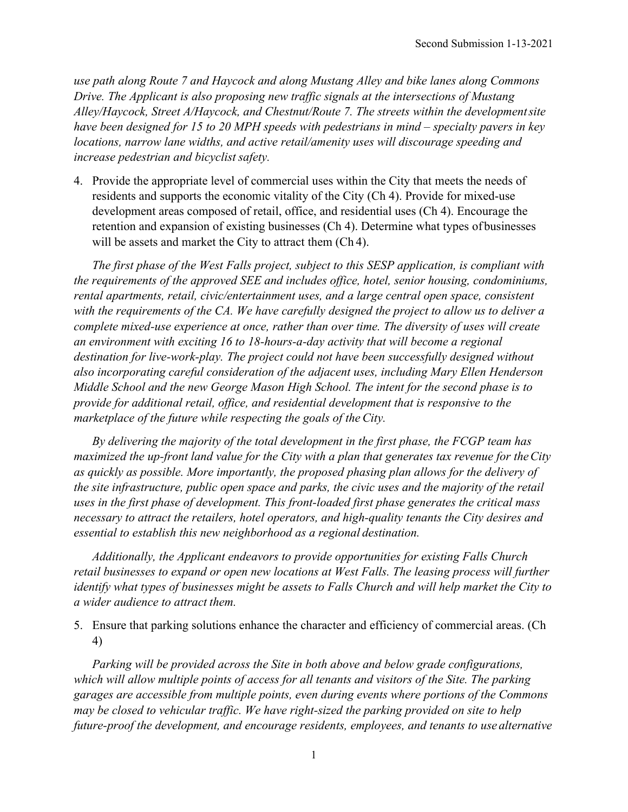*use path along Route 7 and Haycock and along Mustang Alley and bike lanes along Commons Drive. The Applicant is also proposing new traffic signals at the intersections of Mustang Alley/Haycock, Street A/Haycock, and Chestnut/Route 7. The streets within the developmentsite have been designed for 15 to 20 MPH speeds with pedestrians in mind – specialty pavers in key locations, narrow lane widths, and active retail/amenity uses will discourage speeding and increase pedestrian and bicyclist safety.*

4. Provide the appropriate level of commercial uses within the City that meets the needs of residents and supports the economic vitality of the City (Ch 4). Provide for mixed-use development areas composed of retail, office, and residential uses (Ch 4). Encourage the retention and expansion of existing businesses (Ch 4). Determine what types ofbusinesses will be assets and market the City to attract them (Ch 4).

*The first phase of the West Falls project, subject to this SESP application, is compliant with the requirements of the approved SEE and includes office, hotel, senior housing, condominiums, rental apartments, retail, civic/entertainment uses, and a large central open space, consistent with the requirements of the CA. We have carefully designed the project to allow us to deliver a complete mixed-use experience at once, rather than over time. The diversity of uses will create an environment with exciting 16 to 18-hours-a-day activity that will become a regional destination for live-work-play. The project could not have been successfully designed without also incorporating careful consideration of the adjacent uses, including Mary Ellen Henderson Middle School and the new George Mason High School. The intent for the second phase is to provide for additional retail, office, and residential development that is responsive to the marketplace of the future while respecting the goals of theCity.*

*By delivering the majority of the total development in the first phase, the FCGP team has maximized the up-front land value for the City with a plan that generates tax revenue for theCity as quickly as possible. More importantly, the proposed phasing plan allows for the delivery of the site infrastructure, public open space and parks, the civic uses and the majority of the retail uses in the first phase of development. This front-loaded first phase generates the critical mass necessary to attract the retailers, hotel operators, and high-quality tenants the City desires and essential to establish this new neighborhood as a regional destination.*

*Additionally, the Applicant endeavors to provide opportunities for existing Falls Church retail businesses to expand or open new locations at West Falls. The leasing process will further identify what types of businesses might be assets to Falls Church and will help market the City to a wider audience to attract them.*

5. Ensure that parking solutions enhance the character and efficiency of commercial areas. (Ch 4)

*Parking will be provided across the Site in both above and below grade configurations, which will allow multiple points of access for all tenants and visitors of the Site. The parking garages are accessible from multiple points, even during events where portions of the Commons may be closed to vehicular traffic. We have right-sized the parking provided on site to help future-proof the development, and encourage residents, employees, and tenants to use alternative*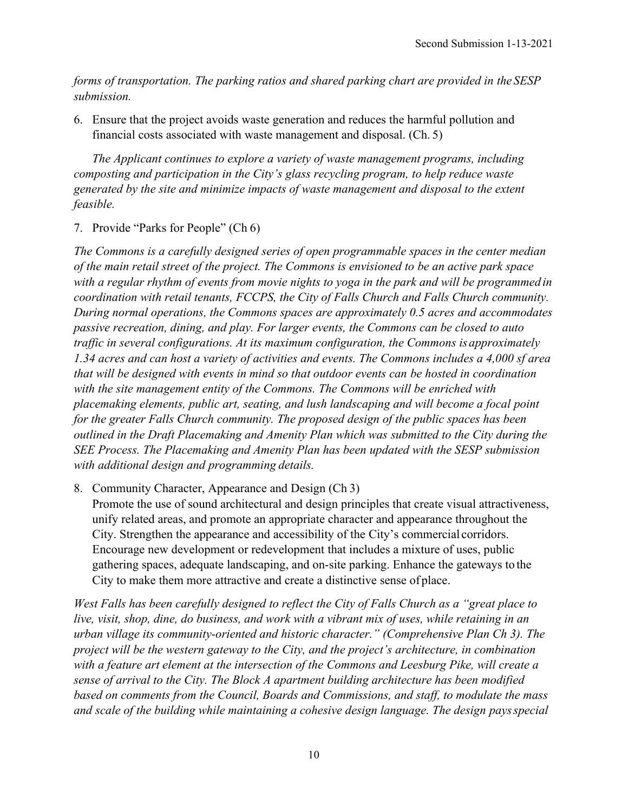*forms of transportation. The parking ratios and shared parking chart are provided in the SESP submission.*

6. Ensure that the project avoids waste generation and reduces the harmful pollution and financial costs associated with waste management and disposal. (Ch. 5)

*The Applicant continues to explore a variety of waste management programs, including composting and participation in the City's glass recycling program, to help reduce waste generated by the site and minimize impacts of waste management and disposal to the extent feasible.*

7. Provide "Parks for People" (Ch 6)

*The Commons is a carefully designed series of open programmable spaces in the center median of the main retail street of the project. The Commons is envisioned to be an active park space*  with a regular rhythm of events from movie nights to yoga in the park and will be programmed in *coordination with retail tenants, FCCPS, the City of Falls Church and Falls Church community. During normal operations, the Commons spaces are approximately 0.5 acres and accommodates passive recreation, dining, and play. For larger events, the Commons can be closed to auto traffic in several configurations. At its maximum configuration, the Commons is approximately 1.34 acres and can host a variety of activities and events. The Commons includes a 4,000 sf area that will be designed with events in mind so that outdoor events can be hosted in coordination with the site management entity of the Commons. The Commons will be enriched with placemaking elements, public art, seating, and lush landscaping and will become a focal point for the greater Falls Church community. The proposed design of the public spaces has been outlined in the Draft Placemaking and Amenity Plan which was submitted to the City during the SEE Process. The Placemaking and Amenity Plan has been updated with the SESP submission with additional design and programming details.*

8. Community Character, Appearance and Design (Ch 3) Promote the use of sound architectural and design principles that create visual attractiveness, unify related areas, and promote an appropriate character and appearance throughout the City. Strengthen the appearance and accessibility of the City's commercial corridors. Encourage new development or redevelopment that includes a mixture of uses, public

City to make them more attractive and create a distinctive sense of place.

*West Falls has been carefully designed to reflect the City of Falls Church as a "great place to live, visit, shop, dine, do business, and work with a vibrant mix of uses, while retaining in an urban village its community-oriented and historic character." (Comprehensive Plan Ch 3). The project will be the western gateway to the City, and the project's architecture, in combination with a feature art element at the intersection of the Commons and Leesburg Pike, will create a sense of arrival to the City. The Block A apartment building architecture has been modified based on comments from the Council, Boards and Commissions, and staff, to modulate the mass and scale of the building while maintaining a cohesive design language. The design paysspecial*

gathering spaces, adequate landscaping, and on-site parking. Enhance the gateways to the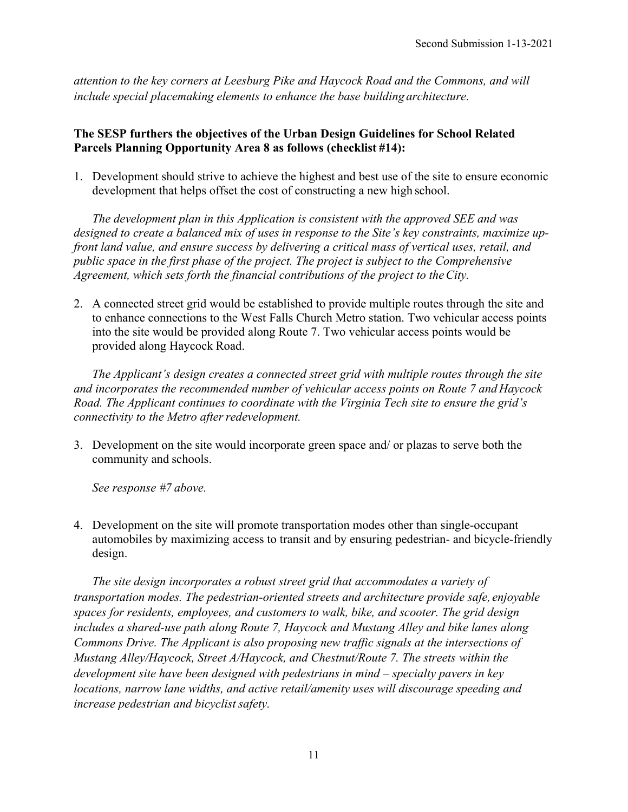*attention to the key corners at Leesburg Pike and Haycock Road and the Commons, and will include special placemaking elements to enhance the base building architecture.*

## **The SESP furthers the objectives of the Urban Design Guidelines for School Related Parcels Planning Opportunity Area 8 as follows (checklist #14):**

1. Development should strive to achieve the highest and best use of the site to ensure economic development that helps offset the cost of constructing a new high school.

*The development plan in this Application is consistent with the approved SEE and was designed to create a balanced mix of uses in response to the Site's key constraints, maximize upfront land value, and ensure success by delivering a critical mass of vertical uses, retail, and public space in the first phase of the project. The project is subject to the Comprehensive Agreement, which sets forth the financial contributions of the project to theCity.*

2. A connected street grid would be established to provide multiple routes through the site and to enhance connections to the West Falls Church Metro station. Two vehicular access points into the site would be provided along Route 7. Two vehicular access points would be provided along Haycock Road.

*The Applicant's design creates a connected street grid with multiple routes through the site and incorporates the recommended number of vehicular access points on Route 7 and Haycock Road. The Applicant continues to coordinate with the Virginia Tech site to ensure the grid's connectivity to the Metro after redevelopment.* 

3. Development on the site would incorporate green space and/ or plazas to serve both the community and schools.

*See response #7 above.*

4. Development on the site will promote transportation modes other than single-occupant automobiles by maximizing access to transit and by ensuring pedestrian- and bicycle-friendly design.

*The site design incorporates a robust street grid that accommodates a variety of transportation modes. The pedestrian-oriented streets and architecture provide safe, enjoyable spaces for residents, employees, and customers to walk, bike, and scooter. The grid design includes a shared-use path along Route 7, Haycock and Mustang Alley and bike lanes along Commons Drive. The Applicant is also proposing new traffic signals at the intersections of Mustang Alley/Haycock, Street A/Haycock, and Chestnut/Route 7. The streets within the development site have been designed with pedestrians in mind – specialty pavers in key locations, narrow lane widths, and active retail/amenity uses will discourage speeding and increase pedestrian and bicyclist safety.*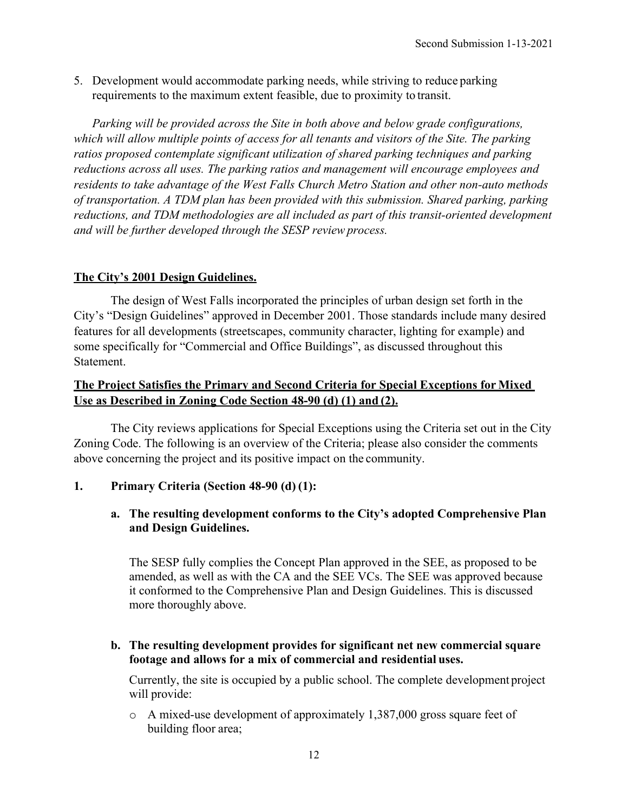5. Development would accommodate parking needs, while striving to reduce parking requirements to the maximum extent feasible, due to proximity to transit.

*Parking will be provided across the Site in both above and below grade configurations, which will allow multiple points of access for all tenants and visitors of the Site. The parking ratios proposed contemplate significant utilization of shared parking techniques and parking reductions across all uses. The parking ratios and management will encourage employees and residents to take advantage of the West Falls Church Metro Station and other non-auto methods of transportation. A TDM plan has been provided with this submission. Shared parking, parking reductions, and TDM methodologies are all included as part of this transit-oriented development and will be further developed through the SESP reviewprocess.*

## **The City's 2001 Design Guidelines.**

The design of West Falls incorporated the principles of urban design set forth in the City's "Design Guidelines" approved in December 2001. Those standards include many desired features for all developments (streetscapes, community character, lighting for example) and some specifically for "Commercial and Office Buildings", as discussed throughout this Statement.

## **The Project Satisfies the Primary and Second Criteria for Special Exceptions for Mixed Use as Described in Zoning Code Section 48-90 (d) (1) and (2).**

The City reviews applications for Special Exceptions using the Criteria set out in the City Zoning Code. The following is an overview of the Criteria; please also consider the comments above concerning the project and its positive impact on the community.

## **1. Primary Criteria (Section 48-90 (d) (1):**

#### **a. The resulting development conforms to the City's adopted Comprehensive Plan and Design Guidelines.**

The SESP fully complies the Concept Plan approved in the SEE, as proposed to be amended, as well as with the CA and the SEE VCs. The SEE was approved because it conformed to the Comprehensive Plan and Design Guidelines. This is discussed more thoroughly above.

#### **b. The resulting development provides for significant net new commercial square footage and allows for a mix of commercial and residential uses.**

Currently, the site is occupied by a public school. The complete development project will provide:

o A mixed-use development of approximately 1,387,000 gross square feet of building floor area;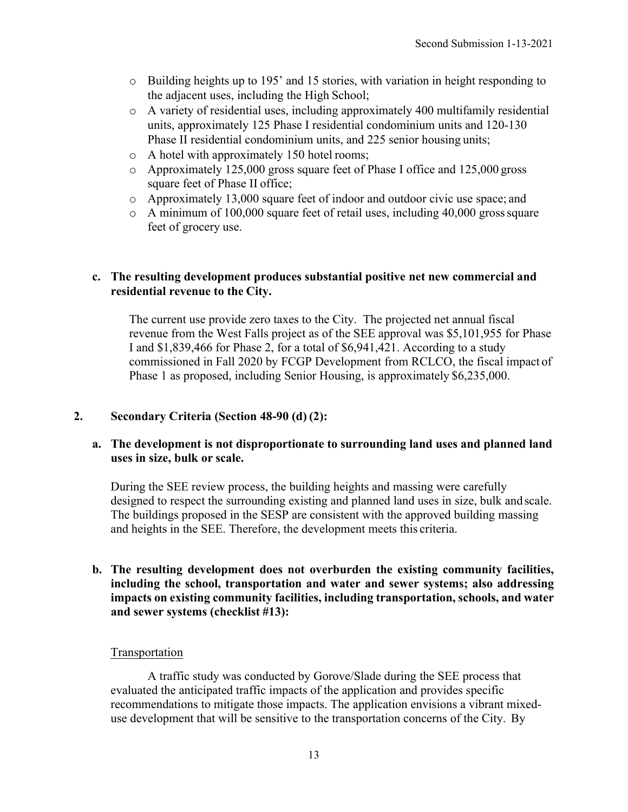- $\circ$  Building heights up to 195' and 15 stories, with variation in height responding to the adjacent uses, including the High School;
- o A variety of residential uses, including approximately 400 multifamily residential units, approximately 125 Phase I residential condominium units and 120-130 Phase II residential condominium units, and 225 senior housing units;
- o A hotel with approximately 150 hotel rooms;
- o Approximately 125,000 gross square feet of Phase I office and 125,000 gross square feet of Phase II office;
- o Approximately 13,000 square feet of indoor and outdoor civic use space; and
- o A minimum of 100,000 square feet of retail uses, including 40,000 grosssquare feet of grocery use.

## **c. The resulting development produces substantial positive net new commercial and residential revenue to the City.**

The current use provide zero taxes to the City. The projected net annual fiscal revenue from the West Falls project as of the SEE approval was \$5,101,955 for Phase I and \$1,839,466 for Phase 2, for a total of \$6,941,421. According to a study commissioned in Fall 2020 by FCGP Development from RCLCO, the fiscal impact of Phase 1 as proposed, including Senior Housing, is approximately \$6,235,000.

## **2. Secondary Criteria (Section 48-90 (d) (2):**

## **a. The development is not disproportionate to surrounding land uses and planned land uses in size, bulk or scale.**

During the SEE review process, the building heights and massing were carefully designed to respect the surrounding existing and planned land uses in size, bulk and scale. The buildings proposed in the SESP are consistent with the approved building massing and heights in the SEE. Therefore, the development meets this criteria.

**b. The resulting development does not overburden the existing community facilities, including the school, transportation and water and sewer systems; also addressing impacts on existing community facilities, including transportation, schools, and water and sewer systems (checklist #13):**

## **Transportation**

A traffic study was conducted by Gorove/Slade during the SEE process that evaluated the anticipated traffic impacts of the application and provides specific recommendations to mitigate those impacts. The application envisions a vibrant mixeduse development that will be sensitive to the transportation concerns of the City. By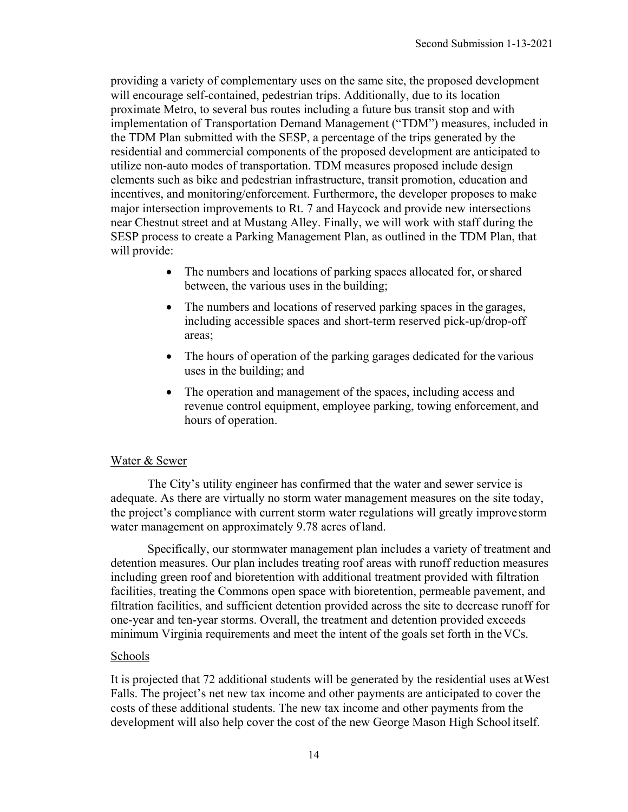providing a variety of complementary uses on the same site, the proposed development will encourage self-contained, pedestrian trips. Additionally, due to its location proximate Metro, to several bus routes including a future bus transit stop and with implementation of Transportation Demand Management ("TDM") measures, included in the TDM Plan submitted with the SESP, a percentage of the trips generated by the residential and commercial components of the proposed development are anticipated to utilize non-auto modes of transportation. TDM measures proposed include design elements such as bike and pedestrian infrastructure, transit promotion, education and incentives, and monitoring/enforcement. Furthermore, the developer proposes to make major intersection improvements to Rt. 7 and Haycock and provide new intersections near Chestnut street and at Mustang Alley. Finally, we will work with staff during the SESP process to create a Parking Management Plan, as outlined in the TDM Plan, that will provide:

- The numbers and locations of parking spaces allocated for, or shared between, the various uses in the building;
- The numbers and locations of reserved parking spaces in the garages, including accessible spaces and short‐term reserved pick‐up/drop‐off areas;
- The hours of operation of the parking garages dedicated for the various uses in the building; and
- The operation and management of the spaces, including access and revenue control equipment, employee parking, towing enforcement, and hours of operation.

## Water & Sewer

The City's utility engineer has confirmed that the water and sewer service is adequate. As there are virtually no storm water management measures on the site today, the project's compliance with current storm water regulations will greatly improve storm water management on approximately 9.78 acres of land.

Specifically, our stormwater management plan includes a variety of treatment and detention measures. Our plan includes treating roof areas with runoff reduction measures including green roof and bioretention with additional treatment provided with filtration facilities, treating the Commons open space with bioretention, permeable pavement, and filtration facilities, and sufficient detention provided across the site to decrease runoff for one-year and ten-year storms. Overall, the treatment and detention provided exceeds minimum Virginia requirements and meet the intent of the goals set forth in theVCs.

#### Schools

It is projected that 72 additional students will be generated by the residential uses atWest Falls. The project's net new tax income and other payments are anticipated to cover the costs of these additional students. The new tax income and other payments from the development will also help cover the cost of the new George Mason High Schoolitself.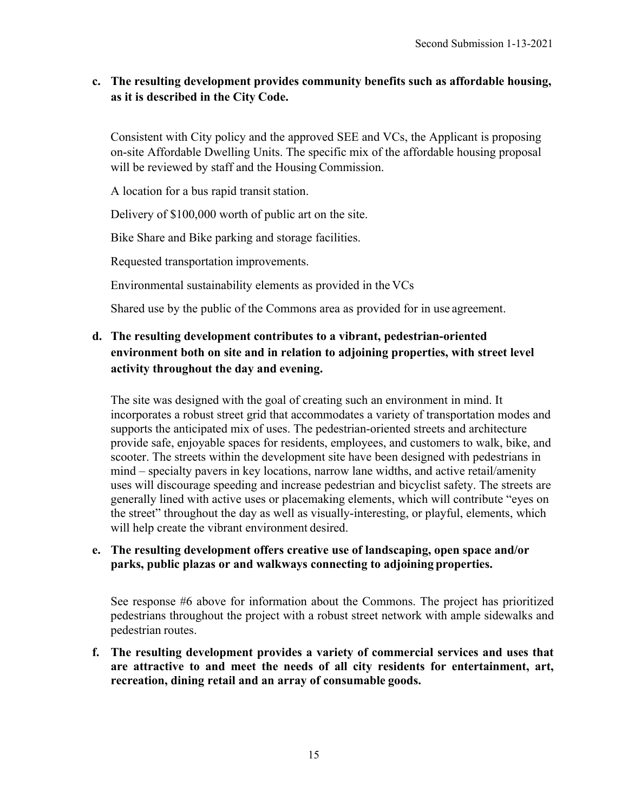## **c. The resulting development provides community benefits such as affordable housing, as it is described in the City Code.**

Consistent with City policy and the approved SEE and VCs, the Applicant is proposing on-site Affordable Dwelling Units. The specific mix of the affordable housing proposal will be reviewed by staff and the Housing Commission.

A location for a bus rapid transit station.

Delivery of \$100,000 worth of public art on the site.

Bike Share and Bike parking and storage facilities.

Requested transportation improvements.

Environmental sustainability elements as provided in the VCs

Shared use by the public of the Commons area as provided for in use agreement.

# **d. The resulting development contributes to a vibrant, pedestrian-oriented environment both on site and in relation to adjoining properties, with street level activity throughout the day and evening.**

The site was designed with the goal of creating such an environment in mind. It incorporates a robust street grid that accommodates a variety of transportation modes and supports the anticipated mix of uses. The pedestrian-oriented streets and architecture provide safe, enjoyable spaces for residents, employees, and customers to walk, bike, and scooter. The streets within the development site have been designed with pedestrians in mind – specialty pavers in key locations, narrow lane widths, and active retail/amenity uses will discourage speeding and increase pedestrian and bicyclist safety. The streets are generally lined with active uses or placemaking elements, which will contribute "eyes on the street" throughout the day as well as visually-interesting, or playful, elements, which will help create the vibrant environment desired.

## **e. The resulting development offers creative use of landscaping, open space and/or parks, public plazas or and walkways connecting to adjoining properties.**

See response #6 above for information about the Commons. The project has prioritized pedestrians throughout the project with a robust street network with ample sidewalks and pedestrian routes.

#### **f. The resulting development provides a variety of commercial services and uses that are attractive to and meet the needs of all city residents for entertainment, art, recreation, dining retail and an array of consumable goods.**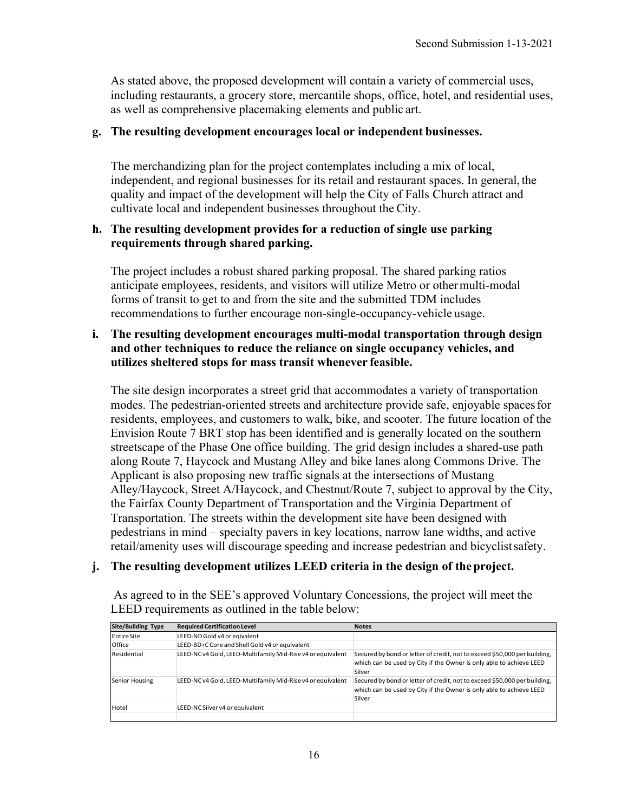As stated above, the proposed development will contain a variety of commercial uses, including restaurants, a grocery store, mercantile shops, office, hotel, and residential uses, as well as comprehensive placemaking elements and public art.

#### **g. The resulting development encourages local or independent businesses.**

The merchandizing plan for the project contemplates including a mix of local, independent, and regional businesses for its retail and restaurant spaces. In general, the quality and impact of the development will help the City of Falls Church attract and cultivate local and independent businesses throughout the City.

#### **h. The resulting development provides for a reduction of single use parking requirements through shared parking.**

The project includes a robust shared parking proposal. The shared parking ratios anticipate employees, residents, and visitors will utilize Metro or othermulti-modal forms of transit to get to and from the site and the submitted TDM includes recommendations to further encourage non-single-occupancy-vehicle usage.

#### **i. The resulting development encourages multi-modal transportation through design and other techniques to reduce the reliance on single occupancy vehicles, and utilizes sheltered stops for mass transit whenever feasible.**

The site design incorporates a street grid that accommodates a variety of transportation modes. The pedestrian-oriented streets and architecture provide safe, enjoyable spacesfor residents, employees, and customers to walk, bike, and scooter. The future location of the Envision Route 7 BRT stop has been identified and is generally located on the southern streetscape of the Phase One office building. The grid design includes a shared-use path along Route 7, Haycock and Mustang Alley and bike lanes along Commons Drive. The Applicant is also proposing new traffic signals at the intersections of Mustang Alley/Haycock, Street A/Haycock, and Chestnut/Route 7, subject to approval by the City, the Fairfax County Department of Transportation and the Virginia Department of Transportation. The streets within the development site have been designed with pedestrians in mind – specialty pavers in key locations, narrow lane widths, and active retail/amenity uses will discourage speeding and increase pedestrian and bicyclistsafety.

## **j. The resulting development utilizes LEED criteria in the design of the project.**

As agreed to in the SEE's approved Voluntary Concessions, the project will meet the LEED requirements as outlined in the table below:

| Site/Building Type | <b>Required Certification Level</b>                         | <b>Notes</b>                                                                                                                                               |
|--------------------|-------------------------------------------------------------|------------------------------------------------------------------------------------------------------------------------------------------------------------|
| <b>Entire Site</b> | LEED-ND Gold v4 or eqivalent                                |                                                                                                                                                            |
| Office             | LEED-BD+C Core and Shell Gold v4 or equivalent              |                                                                                                                                                            |
| Residential        | LEED-NC v4 Gold, LEED-Multifamily Mid-Rise v4 or equivalent | Secured by bond or letter of credit, not to exceed \$50,000 per building,<br>which can be used by City if the Owner is only able to achieve LEED<br>Silver |
| Senior Housing     | LEED-NC v4 Gold, LEED-Multifamily Mid-Rise v4 or equivalent | Secured by bond or letter of credit, not to exceed \$50,000 per building,<br>which can be used by City if the Owner is only able to achieve LEED<br>Silver |
| Hotel              | LEED-NC Silver v4 or equivalent                             |                                                                                                                                                            |
|                    |                                                             |                                                                                                                                                            |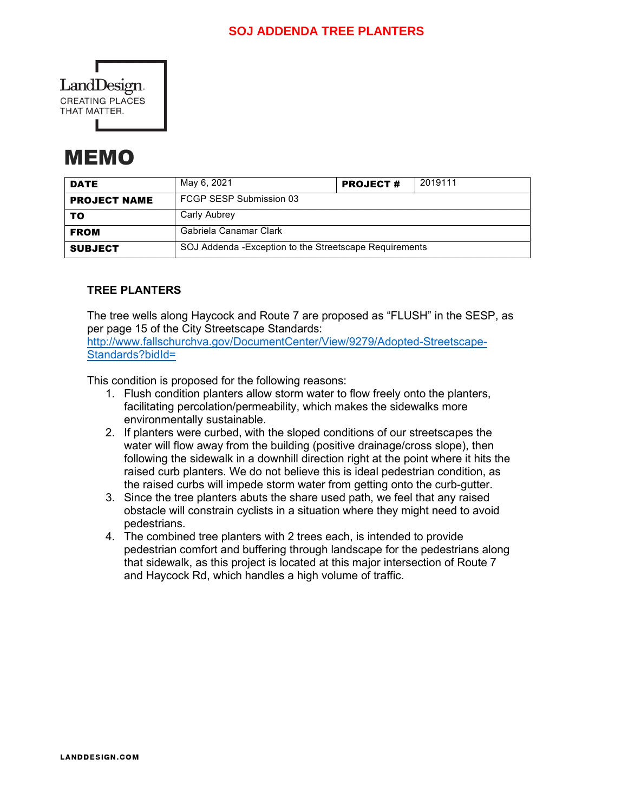

# MEMO

| <b>DATE</b>         | May 6, 2021                                             | <b>PROJECT#</b> | 2019111 |  |
|---------------------|---------------------------------------------------------|-----------------|---------|--|
| <b>PROJECT NAME</b> | FCGP SESP Submission 03                                 |                 |         |  |
| то                  | Carly Aubrey                                            |                 |         |  |
| <b>FROM</b>         | Gabriela Canamar Clark                                  |                 |         |  |
| <b>SUBJECT</b>      | SOJ Addenda - Exception to the Streetscape Requirements |                 |         |  |

## **TREE PLANTERS**

The tree wells along Haycock and Route 7 are proposed as "FLUSH" in the SESP, as per page 15 of the City Streetscape Standards:

[http://www.fallschurchva.gov/DocumentCenter/View/9279/Adopted-Streetscape-](http://www.fallschurchva.gov/DocumentCenter/View/9279/Adopted-Streetscape-Standards?bidId=)[Standards?bidId=](http://www.fallschurchva.gov/DocumentCenter/View/9279/Adopted-Streetscape-Standards?bidId=)

This condition is proposed for the following reasons:

- 1. Flush condition planters allow storm water to flow freely onto the planters, facilitating percolation/permeability, which makes the sidewalks more environmentally sustainable.
- 2. If planters were curbed, with the sloped conditions of our streetscapes the water will flow away from the building (positive drainage/cross slope), then following the sidewalk in a downhill direction right at the point where it hits the raised curb planters. We do not believe this is ideal pedestrian condition, as the raised curbs will impede storm water from getting onto the curb-gutter.
- 3. Since the tree planters abuts the share used path, we feel that any raised obstacle will constrain cyclists in a situation where they might need to avoid pedestrians.
- 4. The combined tree planters with 2 trees each, is intended to provide pedestrian comfort and buffering through landscape for the pedestrians along that sidewalk, as this project is located at this major intersection of Route 7 and Haycock Rd, which handles a high volume of traffic.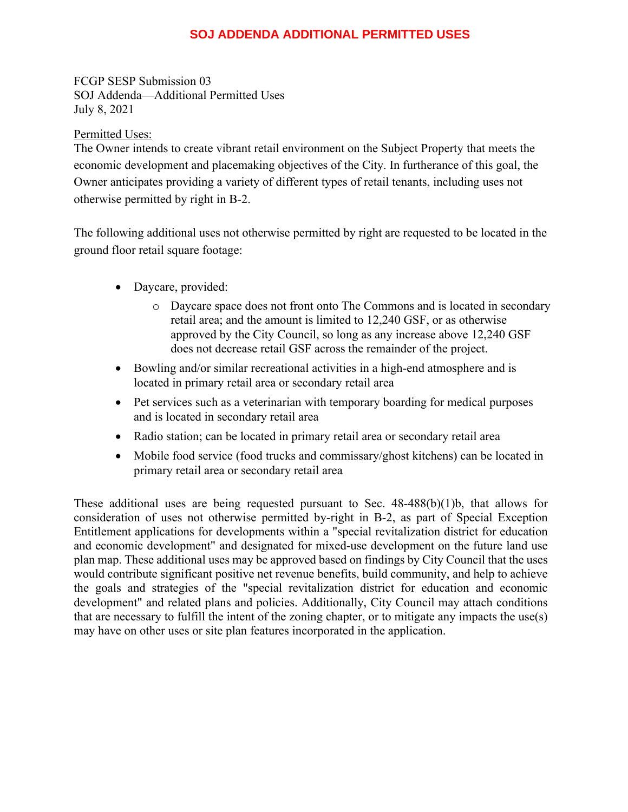## **SOJ ADDENDA ADDITIONAL PERMITTED USES**

FCGP SESP Submission 03 SOJ Addenda—Additional Permitted Uses July 8, 2021

#### Permitted Uses:

The Owner intends to create vibrant retail environment on the Subject Property that meets the economic development and placemaking objectives of the City. In furtherance of this goal, the Owner anticipates providing a variety of different types of retail tenants, including uses not otherwise permitted by right in B-2.

The following additional uses not otherwise permitted by right are requested to be located in the ground floor retail square footage:

- Daycare, provided:
	- o Daycare space does not front onto The Commons and is located in secondary retail area; and the amount is limited to 12,240 GSF, or as otherwise approved by the City Council, so long as any increase above 12,240 GSF does not decrease retail GSF across the remainder of the project.
- Bowling and/or similar recreational activities in a high-end atmosphere and is located in primary retail area or secondary retail area
- Pet services such as a veterinarian with temporary boarding for medical purposes and is located in secondary retail area
- Radio station; can be located in primary retail area or secondary retail area
- Mobile food service (food trucks and commissary/ghost kitchens) can be located in primary retail area or secondary retail area

These additional uses are being requested pursuant to Sec.  $48-488(b)(1)b$ , that allows for consideration of uses not otherwise permitted by-right in B-2, as part of Special Exception Entitlement applications for developments within a "special revitalization district for education and economic development" and designated for mixed-use development on the future land use plan map. These additional uses may be approved based on findings by City Council that the uses would contribute significant positive net revenue benefits, build community, and help to achieve the goals and strategies of the "special revitalization district for education and economic development" and related plans and policies. Additionally, City Council may attach conditions that are necessary to fulfill the intent of the zoning chapter, or to mitigate any impacts the use(s) may have on other uses or site plan features incorporated in the application.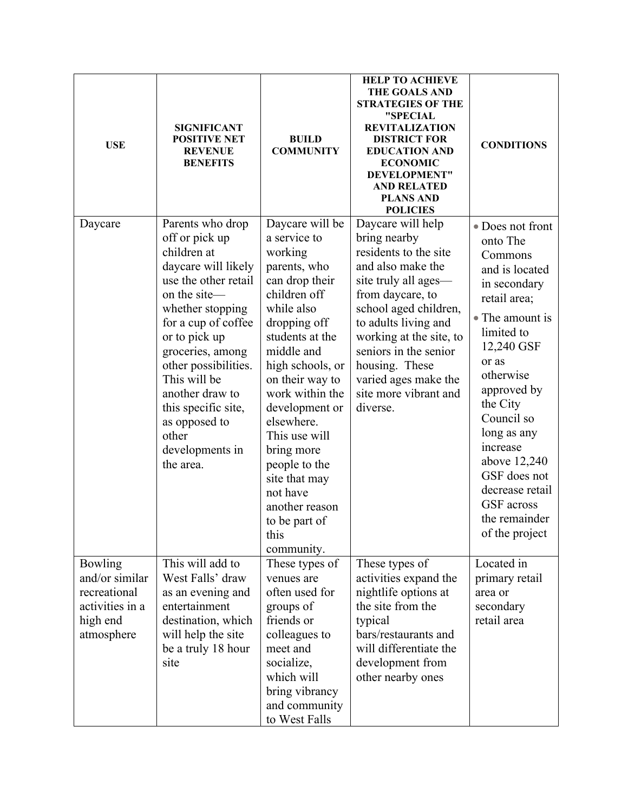| <b>USE</b>                                                                             | <b>SIGNIFICANT</b><br><b>POSITIVE NET</b><br><b>REVENUE</b><br><b>BENEFITS</b>                                                                                                                                                                                                                                                               | <b>BUILD</b><br><b>COMMUNITY</b>                                                                                                                                                                                                                                                                                                                                                            | <b>HELP TO ACHIEVE</b><br><b>THE GOALS AND</b><br><b>STRATEGIES OF THE</b><br>"SPECIAL<br><b>REVITALIZATION</b><br><b>DISTRICT FOR</b><br><b>EDUCATION AND</b><br><b>ECONOMIC</b><br>DEVELOPMENT"<br><b>AND RELATED</b><br><b>PLANS AND</b><br><b>POLICIES</b>                                                  | <b>CONDITIONS</b>                                                                                                                                                                                                                                                                                                                      |
|----------------------------------------------------------------------------------------|----------------------------------------------------------------------------------------------------------------------------------------------------------------------------------------------------------------------------------------------------------------------------------------------------------------------------------------------|---------------------------------------------------------------------------------------------------------------------------------------------------------------------------------------------------------------------------------------------------------------------------------------------------------------------------------------------------------------------------------------------|-----------------------------------------------------------------------------------------------------------------------------------------------------------------------------------------------------------------------------------------------------------------------------------------------------------------|----------------------------------------------------------------------------------------------------------------------------------------------------------------------------------------------------------------------------------------------------------------------------------------------------------------------------------------|
| Daycare                                                                                | Parents who drop<br>off or pick up<br>children at<br>daycare will likely<br>use the other retail<br>on the site-<br>whether stopping<br>for a cup of coffee<br>or to pick up<br>groceries, among<br>other possibilities.<br>This will be<br>another draw to<br>this specific site,<br>as opposed to<br>other<br>developments in<br>the area. | Daycare will be<br>a service to<br>working<br>parents, who<br>can drop their<br>children off<br>while also<br>dropping off<br>students at the<br>middle and<br>high schools, or<br>on their way to<br>work within the<br>development or<br>elsewhere.<br>This use will<br>bring more<br>people to the<br>site that may<br>not have<br>another reason<br>to be part of<br>this<br>community. | Daycare will help<br>bring nearby<br>residents to the site<br>and also make the<br>site truly all ages—<br>from daycare, to<br>school aged children,<br>to adults living and<br>working at the site, to<br>seniors in the senior<br>housing. These<br>varied ages make the<br>site more vibrant and<br>diverse. | • Does not front<br>onto The<br>Commons<br>and is located<br>in secondary<br>retail area;<br>• The amount is<br>limited to<br>12,240 GSF<br>or as<br>otherwise<br>approved by<br>the City<br>Council so<br>long as any<br>increase<br>above 12,240<br>GSF does not<br>decrease retail<br>GSF across<br>the remainder<br>of the project |
| Bowling<br>and/or similar<br>recreational<br>activities in a<br>high end<br>atmosphere | This will add to<br>West Falls' draw<br>as an evening and<br>entertainment<br>destination, which<br>will help the site<br>be a truly 18 hour<br>site                                                                                                                                                                                         | These types of<br>venues are<br>often used for<br>groups of<br>friends or<br>colleagues to<br>meet and<br>socialize,<br>which will<br>bring vibrancy<br>and community<br>to West Falls                                                                                                                                                                                                      | These types of<br>activities expand the<br>nightlife options at<br>the site from the<br>typical<br>bars/restaurants and<br>will differentiate the<br>development from<br>other nearby ones                                                                                                                      | Located in<br>primary retail<br>area or<br>secondary<br>retail area                                                                                                                                                                                                                                                                    |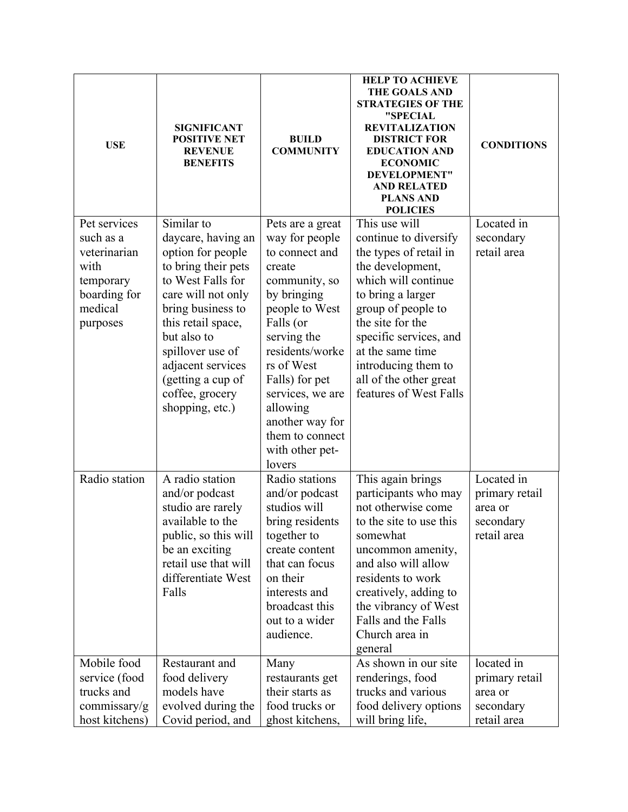| <b>USE</b>                                                                                            | <b>SIGNIFICANT</b><br><b>POSITIVE NET</b><br><b>REVENUE</b><br><b>BENEFITS</b>                                                                                                                                                                                                        | <b>BUILD</b><br><b>COMMUNITY</b>                                                                                                                                                                                                                                                                   | <b>HELP TO ACHIEVE</b><br><b>THE GOALS AND</b><br><b>STRATEGIES OF THE</b><br>"SPECIAL<br><b>REVITALIZATION</b><br><b>DISTRICT FOR</b><br><b>EDUCATION AND</b><br><b>ECONOMIC</b><br>DEVELOPMENT"<br><b>AND RELATED</b><br><b>PLANS AND</b><br><b>POLICIES</b>                                      | <b>CONDITIONS</b>                                                   |
|-------------------------------------------------------------------------------------------------------|---------------------------------------------------------------------------------------------------------------------------------------------------------------------------------------------------------------------------------------------------------------------------------------|----------------------------------------------------------------------------------------------------------------------------------------------------------------------------------------------------------------------------------------------------------------------------------------------------|-----------------------------------------------------------------------------------------------------------------------------------------------------------------------------------------------------------------------------------------------------------------------------------------------------|---------------------------------------------------------------------|
| Pet services<br>such as a<br>veterinarian<br>with<br>temporary<br>boarding for<br>medical<br>purposes | Similar to<br>daycare, having an<br>option for people<br>to bring their pets<br>to West Falls for<br>care will not only<br>bring business to<br>this retail space,<br>but also to<br>spillover use of<br>adjacent services<br>(getting a cup of<br>coffee, grocery<br>shopping, etc.) | Pets are a great<br>way for people<br>to connect and<br>create<br>community, so<br>by bringing<br>people to West<br>Falls (or<br>serving the<br>residents/worke<br>rs of West<br>Falls) for pet<br>services, we are<br>allowing<br>another way for<br>them to connect<br>with other pet-<br>lovers | This use will<br>continue to diversify<br>the types of retail in<br>the development,<br>which will continue<br>to bring a larger<br>group of people to<br>the site for the<br>specific services, and<br>at the same time<br>introducing them to<br>all of the other great<br>features of West Falls | Located in<br>secondary<br>retail area                              |
| Radio station                                                                                         | A radio station<br>and/or podcast<br>studio are rarely<br>available to the<br>public, so this will<br>be an exciting<br>retail use that will<br>differentiate West<br>Falls                                                                                                           | Radio stations<br>and/or podcast<br>studios will<br>bring residents<br>together to<br>create content<br>that can focus<br>on their<br>interests and<br>broadcast this<br>out to a wider<br>audience.                                                                                               | This again brings<br>participants who may<br>not otherwise come<br>to the site to use this<br>somewhat<br>uncommon amenity,<br>and also will allow<br>residents to work<br>creatively, adding to<br>the vibrancy of West<br>Falls and the Falls<br>Church area in<br>general                        | Located in<br>primary retail<br>area or<br>secondary<br>retail area |
| Mobile food<br>service (food<br>trucks and<br>commissary/g<br>host kitchens)                          | Restaurant and<br>food delivery<br>models have<br>evolved during the<br>Covid period, and                                                                                                                                                                                             | Many<br>restaurants get<br>their starts as<br>food trucks or<br>ghost kitchens,                                                                                                                                                                                                                    | As shown in our site<br>renderings, food<br>trucks and various<br>food delivery options<br>will bring life,                                                                                                                                                                                         | located in<br>primary retail<br>area or<br>secondary<br>retail area |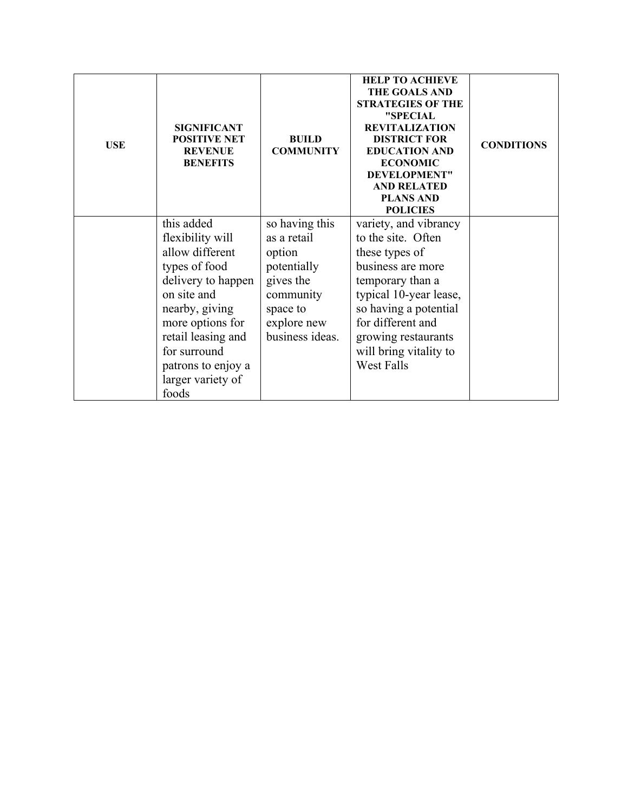| <b>USE</b> | <b>SIGNIFICANT</b><br><b>POSITIVE NET</b><br><b>REVENUE</b><br><b>BENEFITS</b> | <b>BUILD</b><br><b>COMMUNITY</b> | <b>HELP TO ACHIEVE</b><br><b>THE GOALS AND</b><br><b>STRATEGIES OF THE</b><br>"SPECIAL<br><b>REVITALIZATION</b><br><b>DISTRICT FOR</b><br><b>EDUCATION AND</b><br><b>ECONOMIC</b><br>DEVELOPMENT"<br><b>AND RELATED</b><br><b>PLANS AND</b><br><b>POLICIES</b> | <b>CONDITIONS</b> |
|------------|--------------------------------------------------------------------------------|----------------------------------|----------------------------------------------------------------------------------------------------------------------------------------------------------------------------------------------------------------------------------------------------------------|-------------------|
|            | this added<br>flexibility will                                                 | so having this<br>as a retail    | variety, and vibrancy<br>to the site. Often                                                                                                                                                                                                                    |                   |
|            | allow different                                                                | option                           | these types of                                                                                                                                                                                                                                                 |                   |
|            | types of food                                                                  | potentially                      | business are more                                                                                                                                                                                                                                              |                   |
|            | delivery to happen                                                             | gives the                        | temporary than a                                                                                                                                                                                                                                               |                   |
|            | on site and                                                                    | community                        | typical 10-year lease,                                                                                                                                                                                                                                         |                   |
|            | nearby, giving                                                                 | space to                         | so having a potential                                                                                                                                                                                                                                          |                   |
|            | more options for                                                               | explore new                      | for different and                                                                                                                                                                                                                                              |                   |
|            | retail leasing and                                                             | business ideas.                  | growing restaurants                                                                                                                                                                                                                                            |                   |
|            | for surround                                                                   |                                  | will bring vitality to                                                                                                                                                                                                                                         |                   |
|            | patrons to enjoy a                                                             |                                  | West Falls                                                                                                                                                                                                                                                     |                   |
|            | larger variety of                                                              |                                  |                                                                                                                                                                                                                                                                |                   |
|            | foods                                                                          |                                  |                                                                                                                                                                                                                                                                |                   |